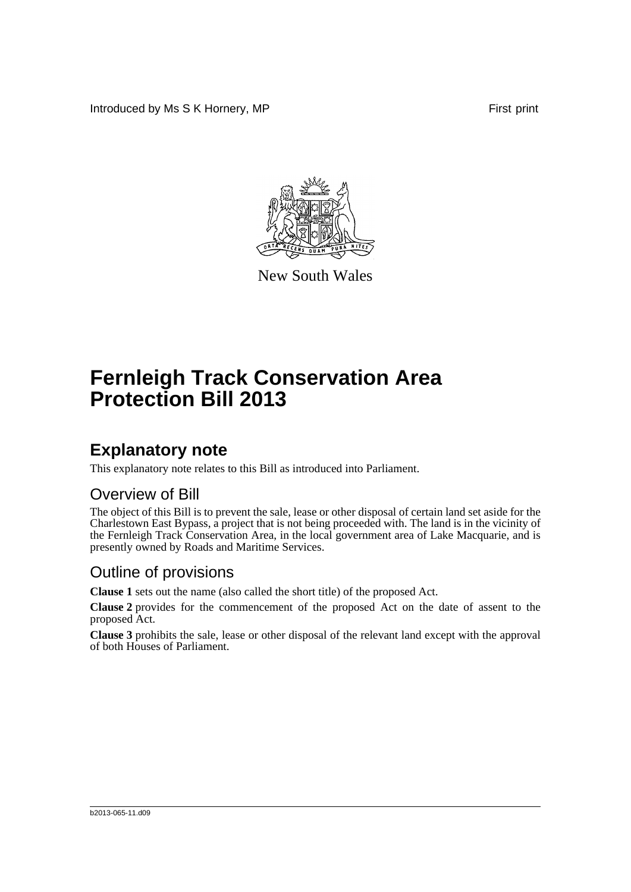Introduced by Ms S K Hornery, MP First print



New South Wales

# **Fernleigh Track Conservation Area Protection Bill 2013**

## **Explanatory note**

This explanatory note relates to this Bill as introduced into Parliament.

#### Overview of Bill

The object of this Bill is to prevent the sale, lease or other disposal of certain land set aside for the Charlestown East Bypass, a project that is not being proceeded with. The land is in the vicinity of the Fernleigh Track Conservation Area, in the local government area of Lake Macquarie, and is presently owned by Roads and Maritime Services.

#### Outline of provisions

**Clause 1** sets out the name (also called the short title) of the proposed Act.

**Clause 2** provides for the commencement of the proposed Act on the date of assent to the proposed Act.

**Clause 3** prohibits the sale, lease or other disposal of the relevant land except with the approval of both Houses of Parliament.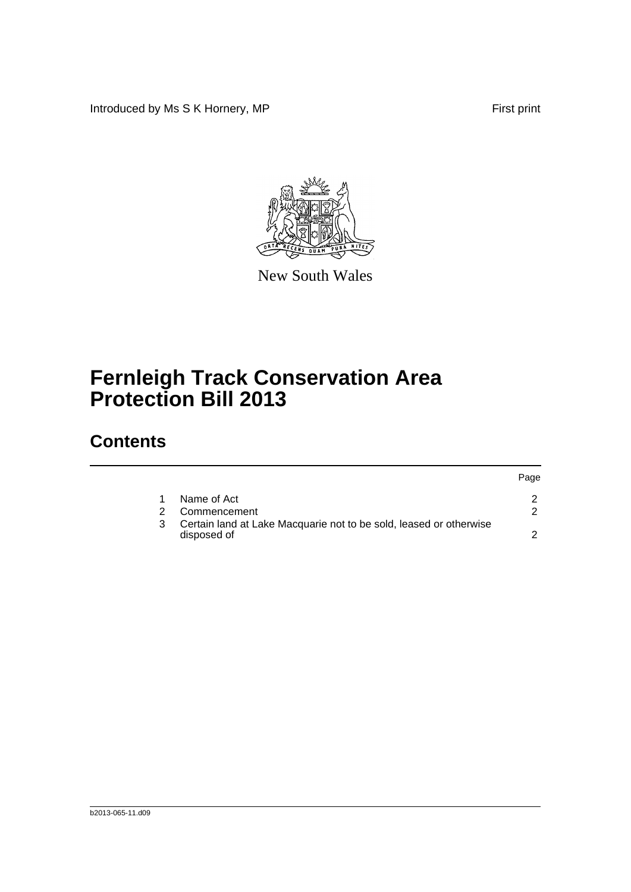Introduced by Ms S K Hornery, MP First print

Page



New South Wales

# **Fernleigh Track Conservation Area Protection Bill 2013**

## **Contents**

|                                                                                   | <b>rage</b> |
|-----------------------------------------------------------------------------------|-------------|
| Name of Act                                                                       |             |
| Commencement                                                                      |             |
| Certain land at Lake Macquarie not to be sold, leased or otherwise<br>disposed of |             |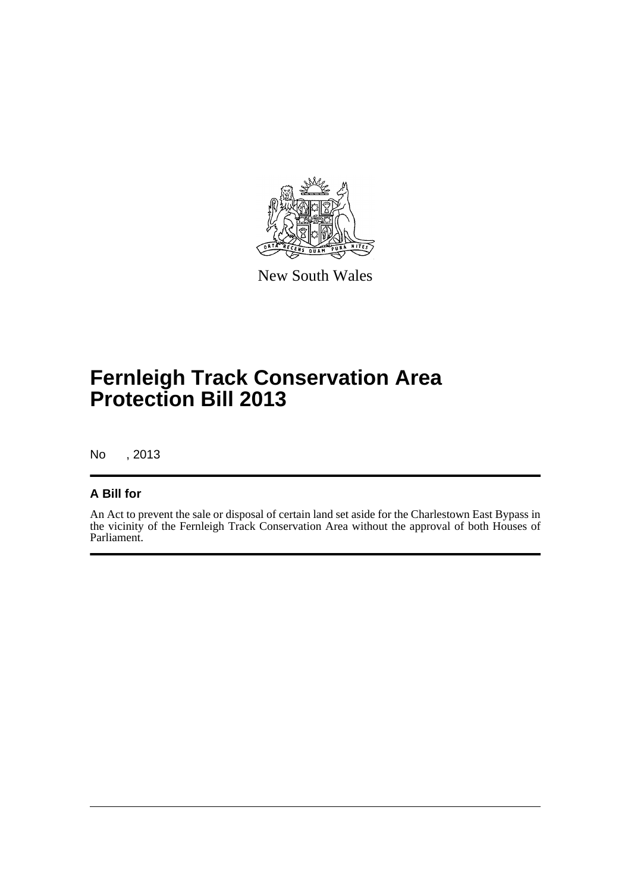

New South Wales

## **Fernleigh Track Conservation Area Protection Bill 2013**

No , 2013

#### **A Bill for**

An Act to prevent the sale or disposal of certain land set aside for the Charlestown East Bypass in the vicinity of the Fernleigh Track Conservation Area without the approval of both Houses of Parliament.